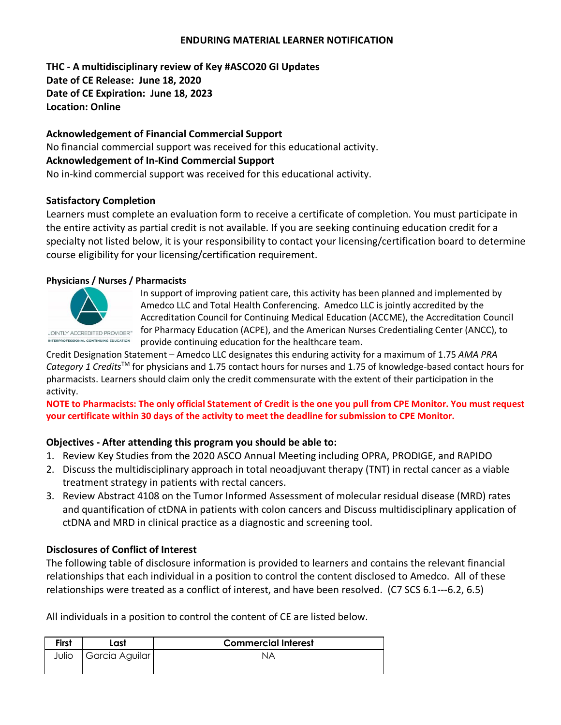#### **ENDURING MATERIAL LEARNER NOTIFICATION**

**THC - A multidisciplinary review of Key #ASCO20 GI Updates Date of CE Release: June 18, 2020 Date of CE Expiration: June 18, 2023 Location: Online**

### **Acknowledgement of Financial Commercial Support**

No financial commercial support was received for this educational activity. **Acknowledgement of In-Kind Commercial Support** No in-kind commercial support was received for this educational activity.

#### **Satisfactory Completion**

Learners must complete an evaluation form to receive a certificate of completion. You must participate in the entire activity as partial credit is not available. If you are seeking continuing education credit for a specialty not listed below, it is your responsibility to contact your licensing/certification board to determine course eligibility for your licensing/certification requirement.

#### **Physicians / Nurses / Pharmacists**



In support of improving patient care, this activity has been planned and implemented by Amedco LLC and Total Health Conferencing. Amedco LLC is jointly accredited by the Accreditation Council for Continuing Medical Education (ACCME), the Accreditation Council for Pharmacy Education (ACPE), and the American Nurses Credentialing Center (ANCC), to provide continuing education for the healthcare team.

Credit Designation Statement – Amedco LLC designates this enduring activity for a maximum of 1.75 *AMA PRA Category 1 Credits*TM for physicians and 1.75 contact hours for nurses and 1.75 of knowledge-based contact hours for pharmacists. Learners should claim only the credit commensurate with the extent of their participation in the activity.

**NOTE to Pharmacists: The only official Statement of Credit is the one you pull from CPE Monitor. You must request your certificate within 30 days of the activity to meet the deadline for submission to CPE Monitor.**

## **Objectives - After attending this program you should be able to:**

- 1. Review Key Studies from the 2020 ASCO Annual Meeting including OPRA, PRODIGE, and RAPIDO
- 2. Discuss the multidisciplinary approach in total neoadjuvant therapy (TNT) in rectal cancer as a viable treatment strategy in patients with rectal cancers.
- 3. Review Abstract 4108 on the Tumor Informed Assessment of molecular residual disease (MRD) rates and quantification of ctDNA in patients with colon cancers and Discuss multidisciplinary application of ctDNA and MRD in clinical practice as a diagnostic and screening tool.

## **Disclosures of Conflict of Interest**

The following table of disclosure information is provided to learners and contains the relevant financial relationships that each individual in a position to control the content disclosed to Amedco. All of these relationships were treated as a conflict of interest, and have been resolved. (C7 SCS 6.1--‐6.2, 6.5)

All individuals in a position to control the content of CE are listed below.

| <b>First</b> | Last           | <b>Commercial Interest</b> |
|--------------|----------------|----------------------------|
| Julio        | Garcia Aguilar | NA                         |
|              |                |                            |